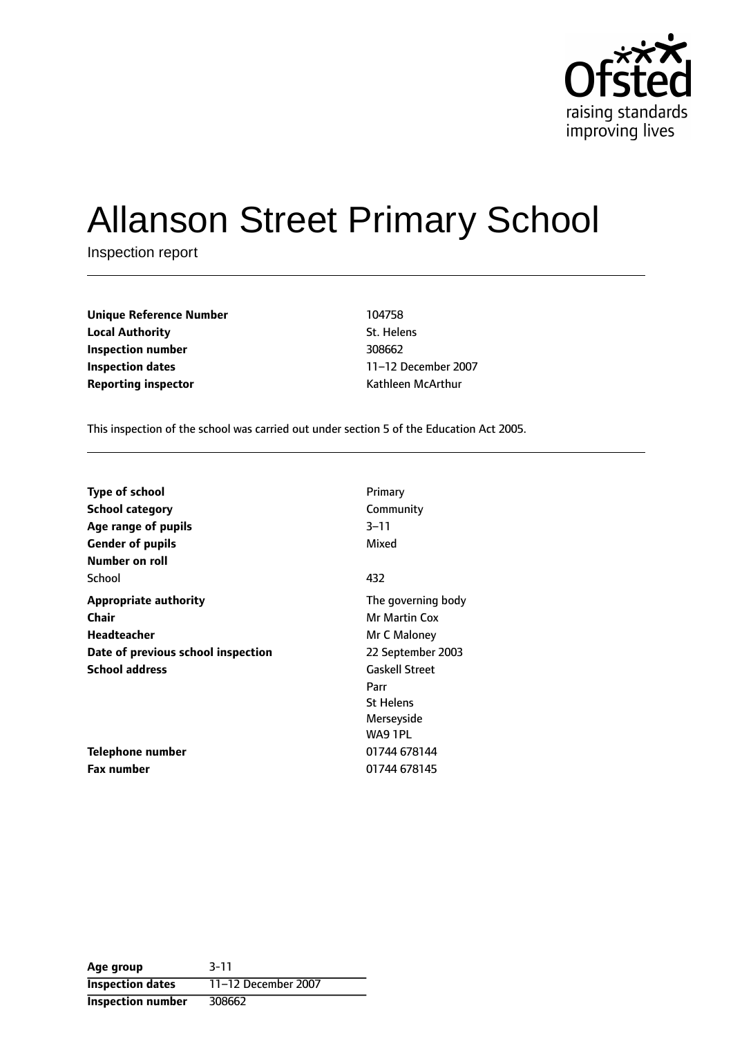

# Allanson Street Primary School

Inspection report

| <b>Unique Reference Number</b> | 104758            |
|--------------------------------|-------------------|
| <b>Local Authority</b>         | St. Helens        |
| Inspection number              | 308662            |
| <b>Inspection dates</b>        | 11-12 December 20 |
| <b>Reporting inspector</b>     | Kathleen McArthur |

**St. Helens Inspection dates** 1112 December 2007

This inspection of the school was carried out under section 5 of the Education Act 2005.

| <b>Type of school</b>              | Primary               |
|------------------------------------|-----------------------|
| <b>School category</b>             | Community             |
| Age range of pupils                | $3 - 11$              |
| <b>Gender of pupils</b>            | Mixed                 |
| Number on roll                     |                       |
| School                             | 432                   |
| <b>Appropriate authority</b>       | The governing body    |
| Chair                              | <b>Mr Martin Cox</b>  |
| <b>Headteacher</b>                 | Mr C Maloney          |
| Date of previous school inspection | 22 September 2003     |
| <b>School address</b>              | <b>Gaskell Street</b> |
|                                    | Parr                  |
|                                    | <b>St Helens</b>      |
|                                    | Merseyside            |
|                                    | WA9 1PL               |
| Telephone number                   | 01744 678144          |
| <b>Fax number</b>                  | 01744 678145          |

**Age group** 3-11 **Inspection dates** 11-12 December 2007 **Inspection number** 308662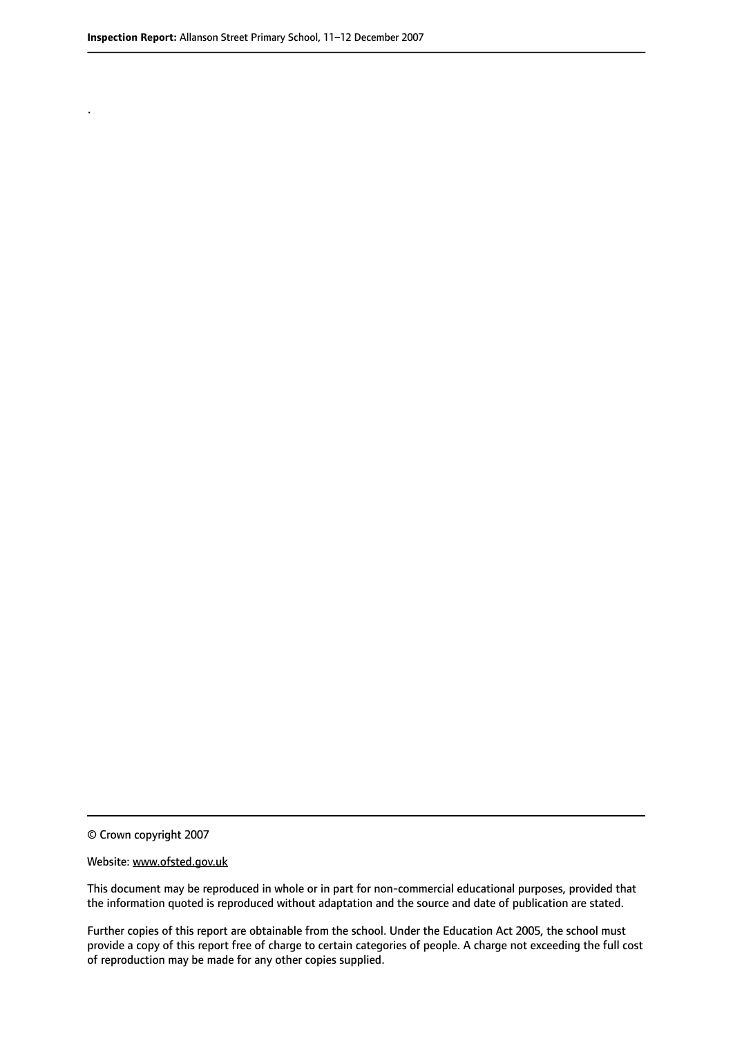.

© Crown copyright 2007

#### Website: www.ofsted.gov.uk

This document may be reproduced in whole or in part for non-commercial educational purposes, provided that the information quoted is reproduced without adaptation and the source and date of publication are stated.

Further copies of this report are obtainable from the school. Under the Education Act 2005, the school must provide a copy of this report free of charge to certain categories of people. A charge not exceeding the full cost of reproduction may be made for any other copies supplied.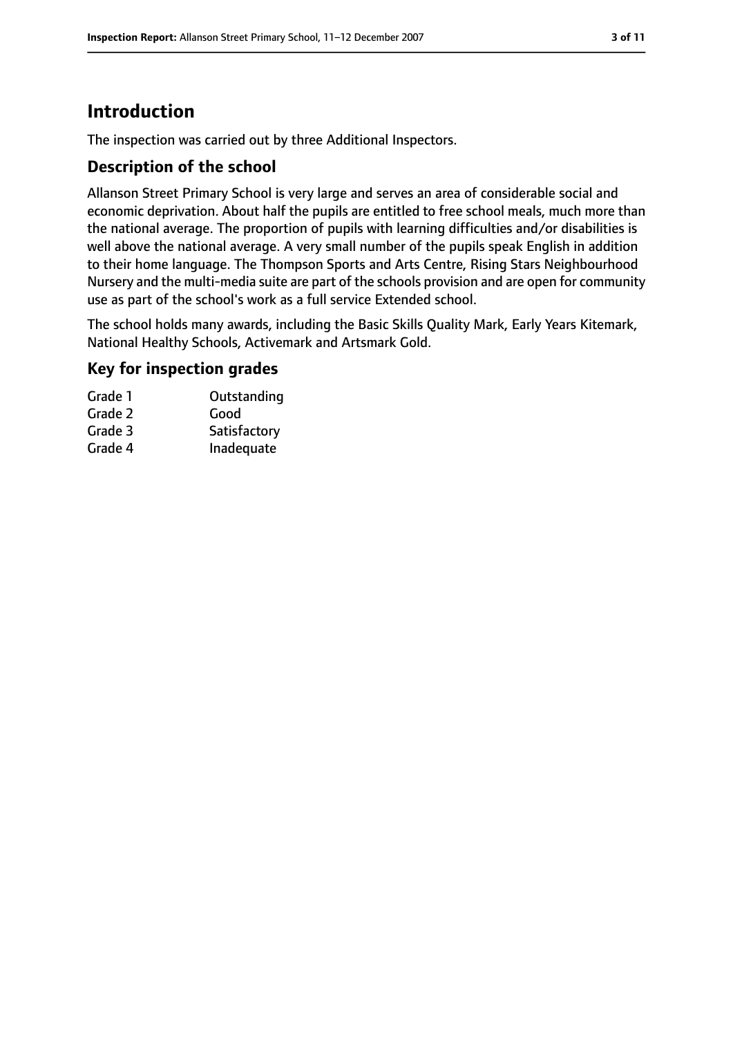# **Introduction**

The inspection was carried out by three Additional Inspectors.

### **Description of the school**

Allanson Street Primary School is very large and serves an area of considerable social and economic deprivation. About half the pupils are entitled to free school meals, much more than the national average. The proportion of pupils with learning difficulties and/or disabilities is well above the national average. A very small number of the pupils speak English in addition to their home language. The Thompson Sports and Arts Centre, Rising Stars Neighbourhood Nursery and the multi-media suite are part of the schools provision and are open for community use as part of the school's work as a full service Extended school.

The school holds many awards, including the Basic Skills Quality Mark, Early Years Kitemark, National Healthy Schools, Activemark and Artsmark Gold.

#### **Key for inspection grades**

| Outstanding  |
|--------------|
| Good         |
| Satisfactory |
| Inadequate   |
|              |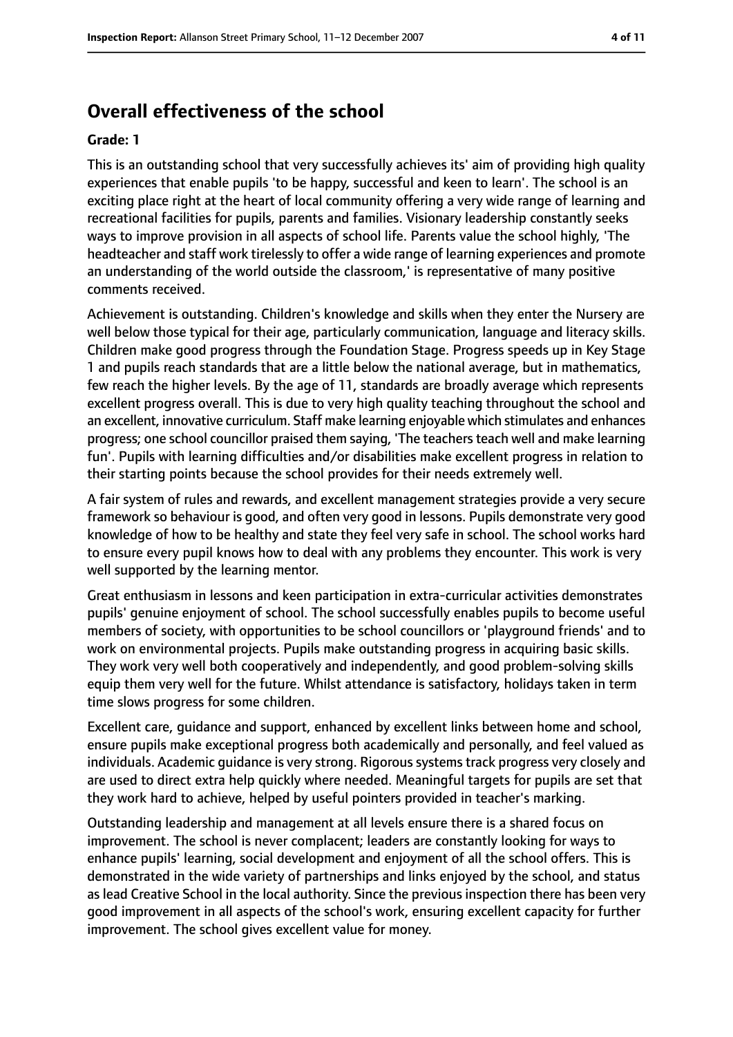# **Overall effectiveness of the school**

#### **Grade: 1**

This is an outstanding school that very successfully achieves its' aim of providing high quality experiences that enable pupils 'to be happy, successful and keen to learn'. The school is an exciting place right at the heart of local community offering a very wide range of learning and recreational facilities for pupils, parents and families. Visionary leadership constantly seeks ways to improve provision in all aspects of school life. Parents value the school highly, 'The headteacher and staff work tirelessly to offer a wide range of learning experiences and promote an understanding of the world outside the classroom,' is representative of many positive comments received.

Achievement is outstanding. Children's knowledge and skills when they enter the Nursery are well below those typical for their age, particularly communication, language and literacy skills. Children make good progress through the Foundation Stage. Progress speeds up in Key Stage 1 and pupils reach standards that are a little below the national average, but in mathematics, few reach the higher levels. By the age of 11, standards are broadly average which represents excellent progress overall. This is due to very high quality teaching throughout the school and an excellent, innovative curriculum. Staff make learning enjoyable which stimulates and enhances progress; one school councillor praised them saying, 'The teachers teach well and make learning fun'. Pupils with learning difficulties and/or disabilities make excellent progress in relation to their starting points because the school provides for their needs extremely well.

A fair system of rules and rewards, and excellent management strategies provide a very secure framework so behaviour is good, and often very good in lessons. Pupils demonstrate very good knowledge of how to be healthy and state they feel very safe in school. The school works hard to ensure every pupil knows how to deal with any problems they encounter. This work is very well supported by the learning mentor.

Great enthusiasm in lessons and keen participation in extra-curricular activities demonstrates pupils' genuine enjoyment of school. The school successfully enables pupils to become useful members of society, with opportunities to be school councillors or 'playground friends' and to work on environmental projects. Pupils make outstanding progress in acquiring basic skills. They work very well both cooperatively and independently, and good problem-solving skills equip them very well for the future. Whilst attendance is satisfactory, holidays taken in term time slows progress for some children.

Excellent care, guidance and support, enhanced by excellent links between home and school, ensure pupils make exceptional progress both academically and personally, and feel valued as individuals. Academic guidance is very strong. Rigorous systems track progress very closely and are used to direct extra help quickly where needed. Meaningful targets for pupils are set that they work hard to achieve, helped by useful pointers provided in teacher's marking.

Outstanding leadership and management at all levels ensure there is a shared focus on improvement. The school is never complacent; leaders are constantly looking for ways to enhance pupils' learning, social development and enjoyment of all the school offers. This is demonstrated in the wide variety of partnerships and links enjoyed by the school, and status as lead Creative School in the local authority. Since the previous inspection there has been very good improvement in all aspects of the school's work, ensuring excellent capacity for further improvement. The school gives excellent value for money.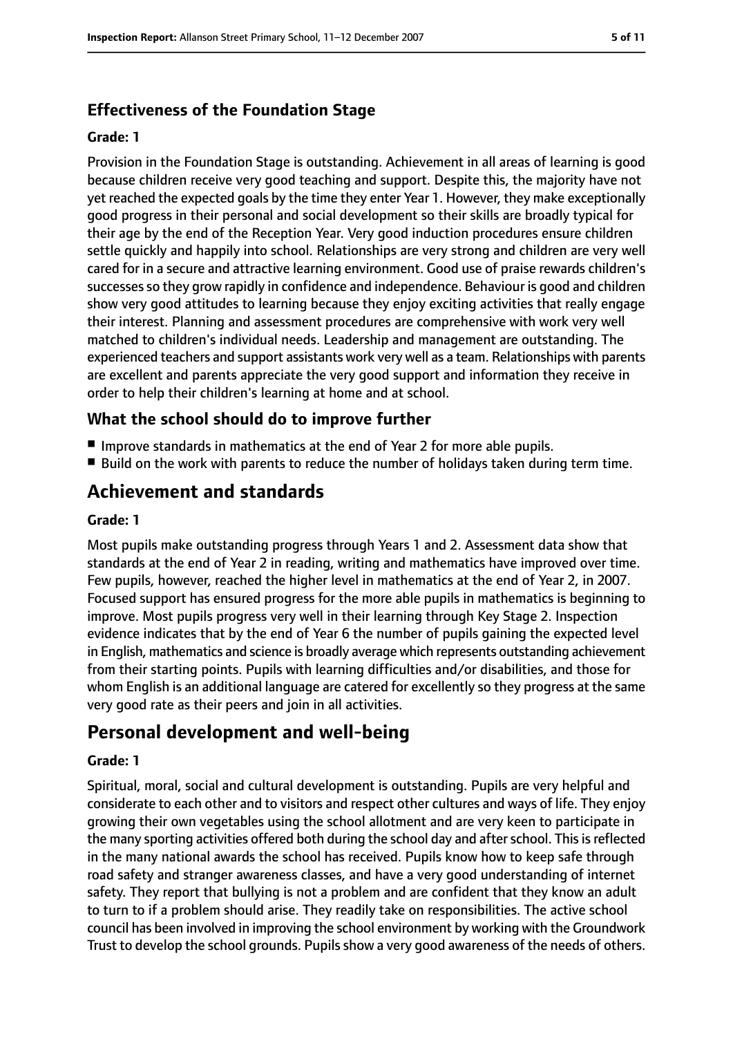# **Effectiveness of the Foundation Stage**

#### **Grade: 1**

Provision in the Foundation Stage is outstanding. Achievement in all areas of learning is good because children receive very good teaching and support. Despite this, the majority have not yet reached the expected goals by the time they enter Year 1. However, they make exceptionally good progress in their personal and social development so their skills are broadly typical for their age by the end of the Reception Year. Very good induction procedures ensure children settle quickly and happily into school. Relationships are very strong and children are very well cared for in a secure and attractive learning environment. Good use of praise rewards children's successes so they grow rapidly in confidence and independence. Behaviour is good and children show very good attitudes to learning because they enjoy exciting activities that really engage their interest. Planning and assessment procedures are comprehensive with work very well matched to children's individual needs. Leadership and management are outstanding. The experienced teachers and support assistants work very well as a team. Relationships with parents are excellent and parents appreciate the very good support and information they receive in order to help their children's learning at home and at school.

## **What the school should do to improve further**

- Improve standards in mathematics at the end of Year 2 for more able pupils.
- Build on the work with parents to reduce the number of holidays taken during term time.

# **Achievement and standards**

#### **Grade: 1**

Most pupils make outstanding progress through Years 1 and 2. Assessment data show that standards at the end of Year 2 in reading, writing and mathematics have improved over time. Few pupils, however, reached the higher level in mathematics at the end of Year 2, in 2007. Focused support has ensured progress for the more able pupils in mathematics is beginning to improve. Most pupils progress very well in their learning through Key Stage 2. Inspection evidence indicates that by the end of Year 6 the number of pupils gaining the expected level in English, mathematics and science is broadly average which represents outstanding achievement from their starting points. Pupils with learning difficulties and/or disabilities, and those for whom English is an additional language are catered for excellently so they progress at the same very good rate as their peers and join in all activities.

# **Personal development and well-being**

#### **Grade: 1**

Spiritual, moral, social and cultural development is outstanding. Pupils are very helpful and considerate to each other and to visitors and respect other cultures and ways of life. They enjoy growing their own vegetables using the school allotment and are very keen to participate in the many sporting activities offered both during the school day and after school. This is reflected in the many national awards the school has received. Pupils know how to keep safe through road safety and stranger awareness classes, and have a very good understanding of internet safety. They report that bullying is not a problem and are confident that they know an adult to turn to if a problem should arise. They readily take on responsibilities. The active school council has been involved in improving the school environment by working with the Groundwork Trust to develop the school grounds. Pupils show a very good awareness of the needs of others.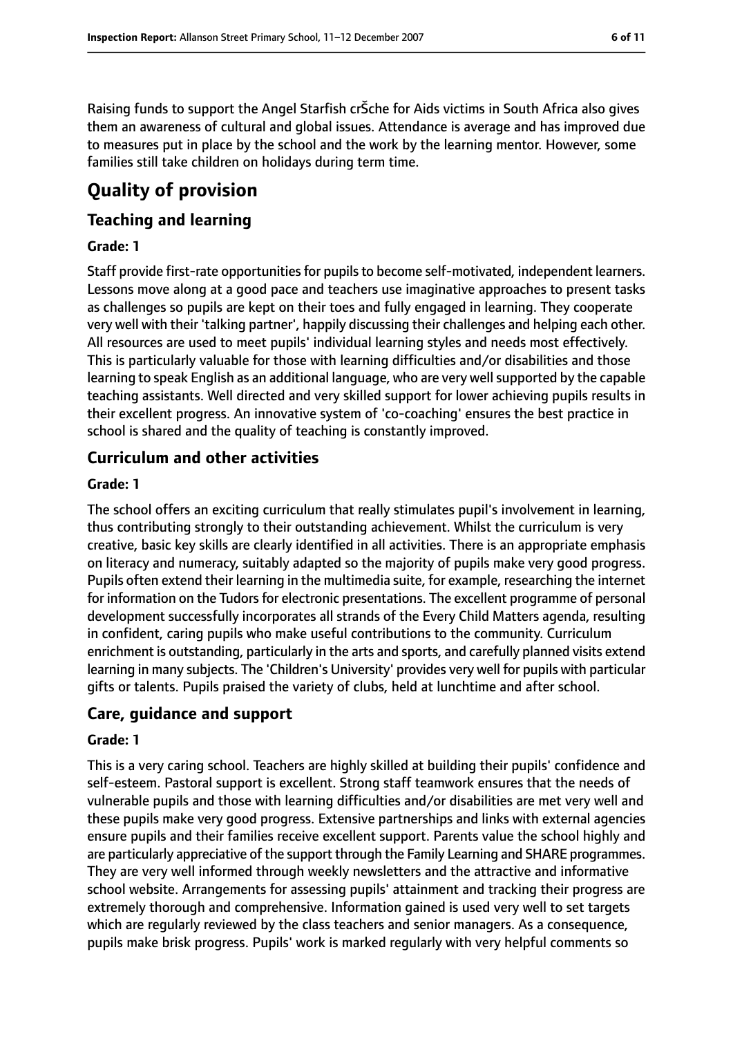Raising funds to support the Angel Starfish crŠche for Aids victims in South Africa also gives them an awareness of cultural and global issues. Attendance is average and has improved due to measures put in place by the school and the work by the learning mentor. However, some families still take children on holidays during term time.

# **Quality of provision**

## **Teaching and learning**

#### **Grade: 1**

Staff provide first-rate opportunities for pupils to become self-motivated, independent learners. Lessons move along at a good pace and teachers use imaginative approaches to present tasks as challenges so pupils are kept on their toes and fully engaged in learning. They cooperate very well with their 'talking partner', happily discussing their challenges and helping each other. All resources are used to meet pupils' individual learning styles and needs most effectively. This is particularly valuable for those with learning difficulties and/or disabilities and those learning to speak English as an additional language, who are very well supported by the capable teaching assistants. Well directed and very skilled support for lower achieving pupils results in their excellent progress. An innovative system of 'co-coaching' ensures the best practice in school is shared and the quality of teaching is constantly improved.

### **Curriculum and other activities**

#### **Grade: 1**

The school offers an exciting curriculum that really stimulates pupil's involvement in learning, thus contributing strongly to their outstanding achievement. Whilst the curriculum is very creative, basic key skills are clearly identified in all activities. There is an appropriate emphasis on literacy and numeracy, suitably adapted so the majority of pupils make very good progress. Pupils often extend their learning in the multimedia suite, for example, researching the internet for information on the Tudors for electronic presentations. The excellent programme of personal development successfully incorporates all strands of the Every Child Matters agenda, resulting in confident, caring pupils who make useful contributions to the community. Curriculum enrichment is outstanding, particularly in the arts and sports, and carefully planned visits extend learning in many subjects. The 'Children's University' provides very well for pupils with particular gifts or talents. Pupils praised the variety of clubs, held at lunchtime and after school.

#### **Care, guidance and support**

#### **Grade: 1**

This is a very caring school. Teachers are highly skilled at building their pupils' confidence and self-esteem. Pastoral support is excellent. Strong staff teamwork ensures that the needs of vulnerable pupils and those with learning difficulties and/or disabilities are met very well and these pupils make very good progress. Extensive partnerships and links with external agencies ensure pupils and their families receive excellent support. Parents value the school highly and are particularly appreciative of the support through the Family Learning and SHARE programmes. They are very well informed through weekly newsletters and the attractive and informative school website. Arrangements for assessing pupils' attainment and tracking their progress are extremely thorough and comprehensive. Information gained is used very well to set targets which are regularly reviewed by the class teachers and senior managers. As a consequence, pupils make brisk progress. Pupils' work is marked regularly with very helpful comments so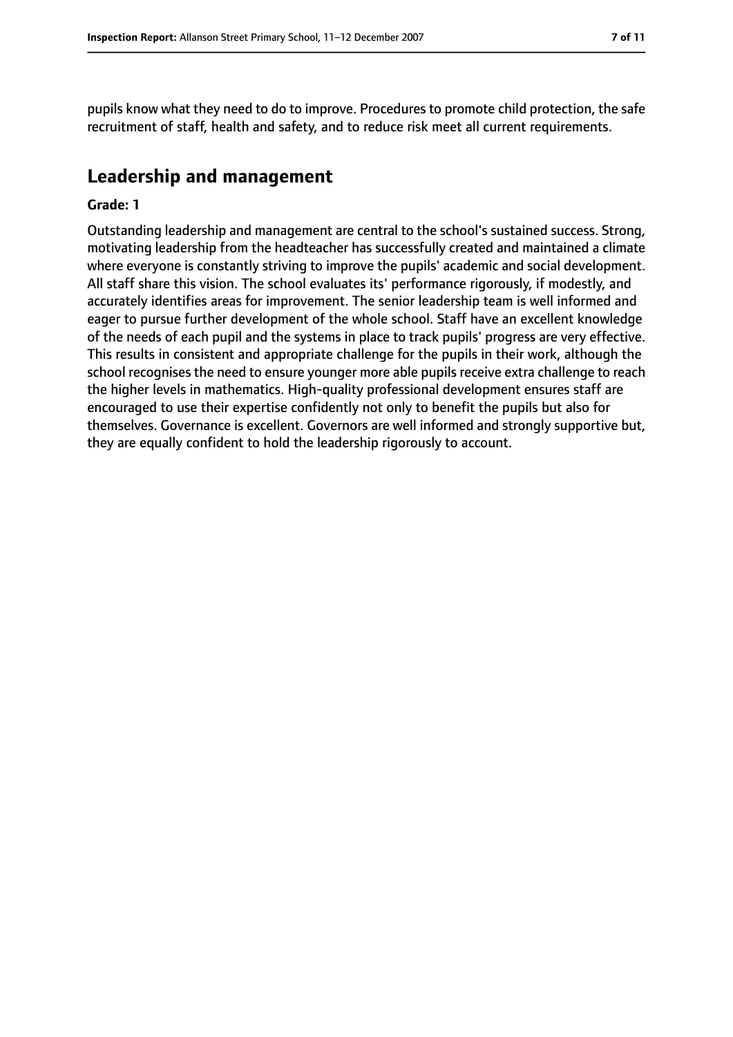pupils know what they need to do to improve. Procedures to promote child protection, the safe recruitment of staff, health and safety, and to reduce risk meet all current requirements.

# **Leadership and management**

#### **Grade: 1**

Outstanding leadership and management are central to the school's sustained success. Strong, motivating leadership from the headteacher has successfully created and maintained a climate where everyone is constantly striving to improve the pupils' academic and social development. All staff share this vision. The school evaluates its' performance rigorously, if modestly, and accurately identifies areas for improvement. The senior leadership team is well informed and eager to pursue further development of the whole school. Staff have an excellent knowledge of the needs of each pupil and the systems in place to track pupils' progress are very effective. This results in consistent and appropriate challenge for the pupils in their work, although the school recognises the need to ensure younger more able pupils receive extra challenge to reach the higher levels in mathematics. High-quality professional development ensures staff are encouraged to use their expertise confidently not only to benefit the pupils but also for themselves. Governance is excellent. Governors are well informed and strongly supportive but, they are equally confident to hold the leadership rigorously to account.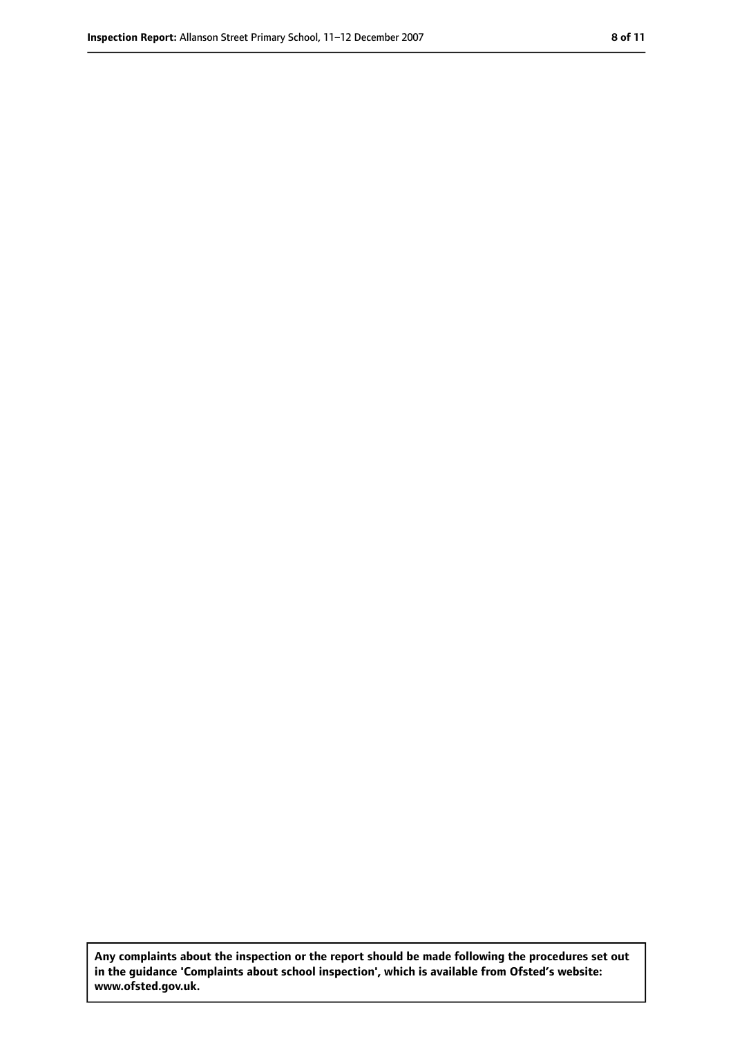**Any complaints about the inspection or the report should be made following the procedures set out in the guidance 'Complaints about school inspection', which is available from Ofsted's website: www.ofsted.gov.uk.**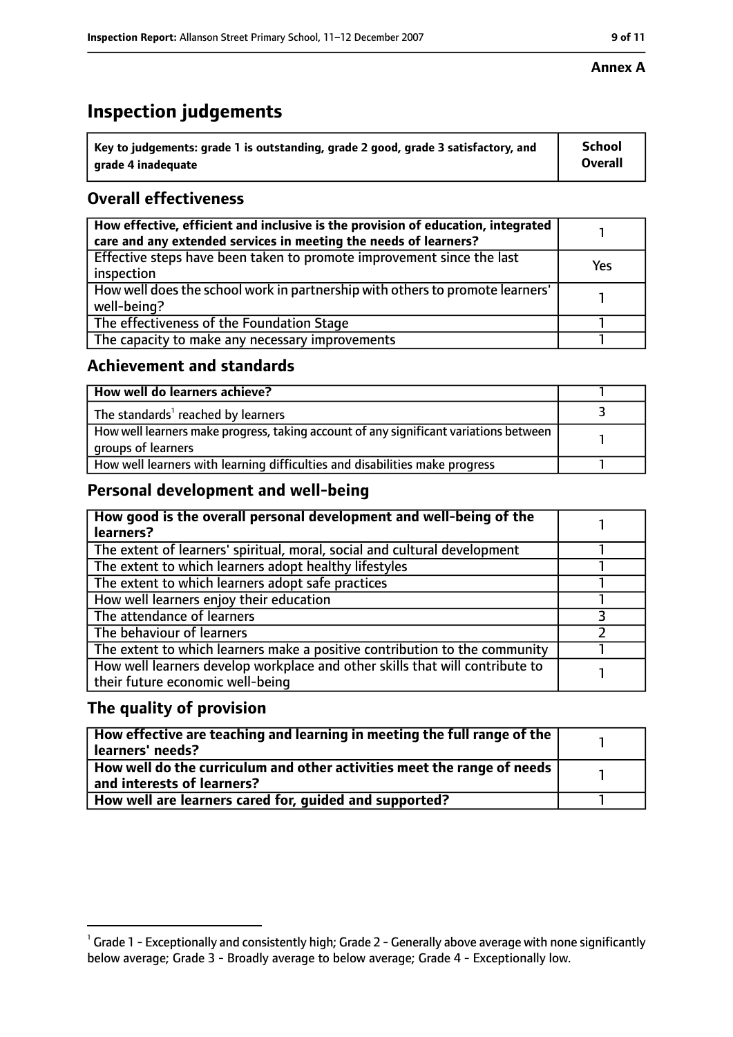# **Inspection judgements**

| $^{\backprime}$ Key to judgements: grade 1 is outstanding, grade 2 good, grade 3 satisfactory, and | <b>School</b>  |
|----------------------------------------------------------------------------------------------------|----------------|
| arade 4 inadequate                                                                                 | <b>Overall</b> |

## **Overall effectiveness**

| How effective, efficient and inclusive is the provision of education, integrated<br>care and any extended services in meeting the needs of learners? |     |
|------------------------------------------------------------------------------------------------------------------------------------------------------|-----|
| Effective steps have been taken to promote improvement since the last<br>inspection                                                                  | Yes |
| How well does the school work in partnership with others to promote learners'<br>well-being?                                                         |     |
| The effectiveness of the Foundation Stage                                                                                                            |     |
| The capacity to make any necessary improvements                                                                                                      |     |

#### **Achievement and standards**

| How well do learners achieve?                                                                               |  |
|-------------------------------------------------------------------------------------------------------------|--|
| The standards <sup>1</sup> reached by learners                                                              |  |
| How well learners make progress, taking account of any significant variations between<br>groups of learners |  |
| How well learners with learning difficulties and disabilities make progress                                 |  |

## **Personal development and well-being**

| How good is the overall personal development and well-being of the<br>learners?                                  |  |
|------------------------------------------------------------------------------------------------------------------|--|
| The extent of learners' spiritual, moral, social and cultural development                                        |  |
| The extent to which learners adopt healthy lifestyles                                                            |  |
| The extent to which learners adopt safe practices                                                                |  |
| How well learners enjoy their education                                                                          |  |
| The attendance of learners                                                                                       |  |
| The behaviour of learners                                                                                        |  |
| The extent to which learners make a positive contribution to the community                                       |  |
| How well learners develop workplace and other skills that will contribute to<br>their future economic well-being |  |

## **The quality of provision**

| How effective are teaching and learning in meeting the full range of the<br>learners' needs?          |  |
|-------------------------------------------------------------------------------------------------------|--|
| How well do the curriculum and other activities meet the range of needs<br>and interests of learners? |  |
| How well are learners cared for, quided and supported?                                                |  |

#### **Annex A**

 $^1$  Grade 1 - Exceptionally and consistently high; Grade 2 - Generally above average with none significantly below average; Grade 3 - Broadly average to below average; Grade 4 - Exceptionally low.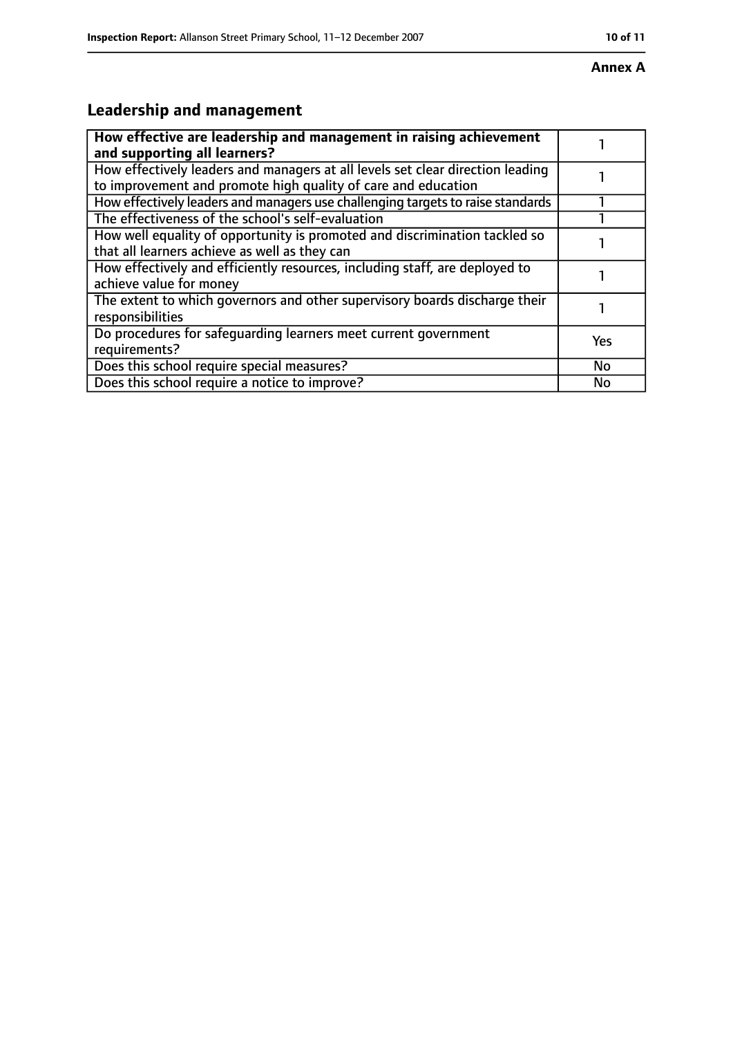#### **Annex A**

# **Leadership and management**

| How effective are leadership and management in raising achievement<br>and supporting all learners?                                              |     |
|-------------------------------------------------------------------------------------------------------------------------------------------------|-----|
| How effectively leaders and managers at all levels set clear direction leading<br>to improvement and promote high quality of care and education |     |
| How effectively leaders and managers use challenging targets to raise standards                                                                 |     |
| The effectiveness of the school's self-evaluation                                                                                               |     |
| How well equality of opportunity is promoted and discrimination tackled so<br>that all learners achieve as well as they can                     |     |
| How effectively and efficiently resources, including staff, are deployed to<br>achieve value for money                                          |     |
| The extent to which governors and other supervisory boards discharge their<br>responsibilities                                                  |     |
| Do procedures for safequarding learners meet current government<br>requirements?                                                                | Yes |
| Does this school require special measures?                                                                                                      | No  |
| Does this school require a notice to improve?                                                                                                   | No  |